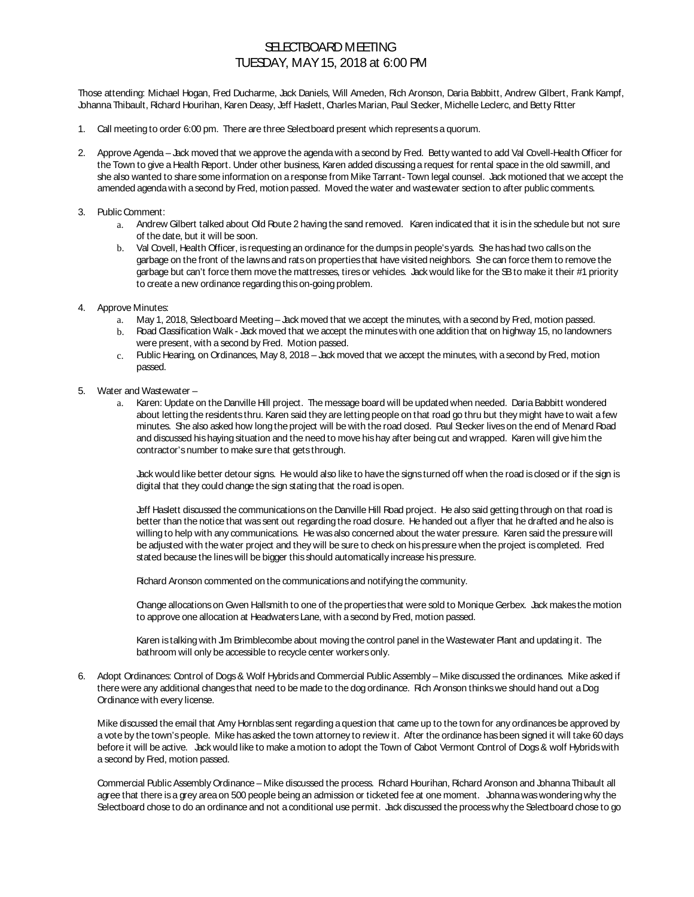## SELECTBOARD MEETING TUESDAY, MAY15, 2018 at 6:00 PM

Those attending: Michael Hogan, Fred Ducharme, Jack Daniels, Will Ameden, Rich Aronson, Daria Babbitt, Andrew Gilbert, Frank Kampf, JohannaThibault, Richard Hourihan, Karen Deasy, Jeff Haslett, Charles Marian, Paul Stecker, Michelle Leclerc, and Betty Ritter

- 1. Call meeting to order 6:00 pm. There are three Selectboard present which represents a quorum.
- 2. Approve Agenda Jack moved that we approve the agenda with a second by Fred. Betty wanted to add Val Covell-Health Officer for the Town to give a Health Report. Under other business, Karen added discussinga request for rental space in the old sawmill, and she also wanted to share some information on a response from Mike Tarrant- Town legal counsel. Jack motioned that we accept the amended agenda with a second by Fred, motion passed. Moved the water and wastewater section to after public comments.

## Public Comment:

- a. Andrew Gilbert talked about Old Route 2 having the sand removed. Karen indicated that it is in the schedule but not sure of the date, but it will be soon.
- b. Val Covell, Health Officer, isrequestingan ordinance for the dumpsin people'syards. She hashad two callson the garbage on the front of the lawnsand ratson propertiesthat have visited neighbors. She can force them to remove the garbage but can't force them move the mattresses, tires or vehicles. Jack would like for the SB to make it their #1 priority to create a new ordinance regarding this on-going problem.
- 4. Approve Minutes:
	- a. May 1, 2018, Selectboard Meeting– Jack moved that we accept the minutes, with asecond by Fred, motion passed.
	- b. Road Classification Walk Jack moved that we accept the minuteswith one addition that on highway 15, no landowners were present, with a second by Fred. Motion passed.
	- c. Public Hearing, on Ordinances, May 8, 2018 Jack moved that we accept the minutes, with asecond by Fred, motion passed.
- 5. Water and Wastewater
	- a. Karen: Update on the Danville Hill project. The message board will be updated when needed. DariaBabbitt wondered about letting the residents thru. Karen said they are letting people on that road go thru but they might have to wait a few minutes. She also asked how long the project will be with the road closed. Paul Stecker lives on the end of Menard Road and discussed his haying situation and the need to move his hay after being cut and wrapped. Karen will give him the contractor'snumber to make sure that getsthrough.

Jack would like better detour signs. He would also like to have the signs turned off when the road is closed or if the sign is digital that they could change the sign stating that the road is open.

Jeff Haslett discussed the communicationson the Danville Hill Road project. He also said gettingthrough on that road is better than the notice that was sent out regarding the road dosure. He handed out a flyer that he drafted and he also is willing to help with any communications. He was also concerned about the water pressure. Karen said the pressure will be adjusted with the water project and they will be sure to check on hispressure when the project iscompleted. Fred stated because the lines will be bigger this should automatically increase his pressure.

Richard Aronson commented on the communications and notifying the community.

Change allocationson Gwen Hallsmith to one of thepropertiesthat were sold to Monique Gerbex. Jack makesthe motion to approve one allocation at Headwaters Lane, with a second by Fred, motion passed.

Karen is talking with Jm Brimblecombe about moving the control panel in the Wastewater Plant and updating it. The bathroom will only be accessible to recycle center workersonly.

6. Adopt Ordinances: Control of Dogs& Wolf Hybridsand Commercial PublicAssembly – Mike discussed the ordinances. Mike asked if there were any additional changes that need to be made to the dog ordinance. Rich Aronson thinks we should hand out a Dog Ordinance with every license.

Mike discussed the email that Amy Hornblas sent regarding a question that came up to the town for any ordinances be approved by a vote by the town's people. Mike has asked the town attorney to review it. After the ordinance has been signed it will take 60 days before it will be active. Jack would like to make a motion to adopt the Town of Cabot Vermont Control of Dogs & wolf Hybrids with a second by Fred, motion passed.

Commercial Public Assembly Ordinance – Mike discussed the process. Richard Hourihan, Richard Aronson and Johanna Thibault all agree that there is a grey area on 500 people being an admission or ticketed fee at one moment. Johanna was wondering why the Selectboard chose to do an ordinance and not a conditional use permit. Jack discussed the process why the Selectboard chose to go